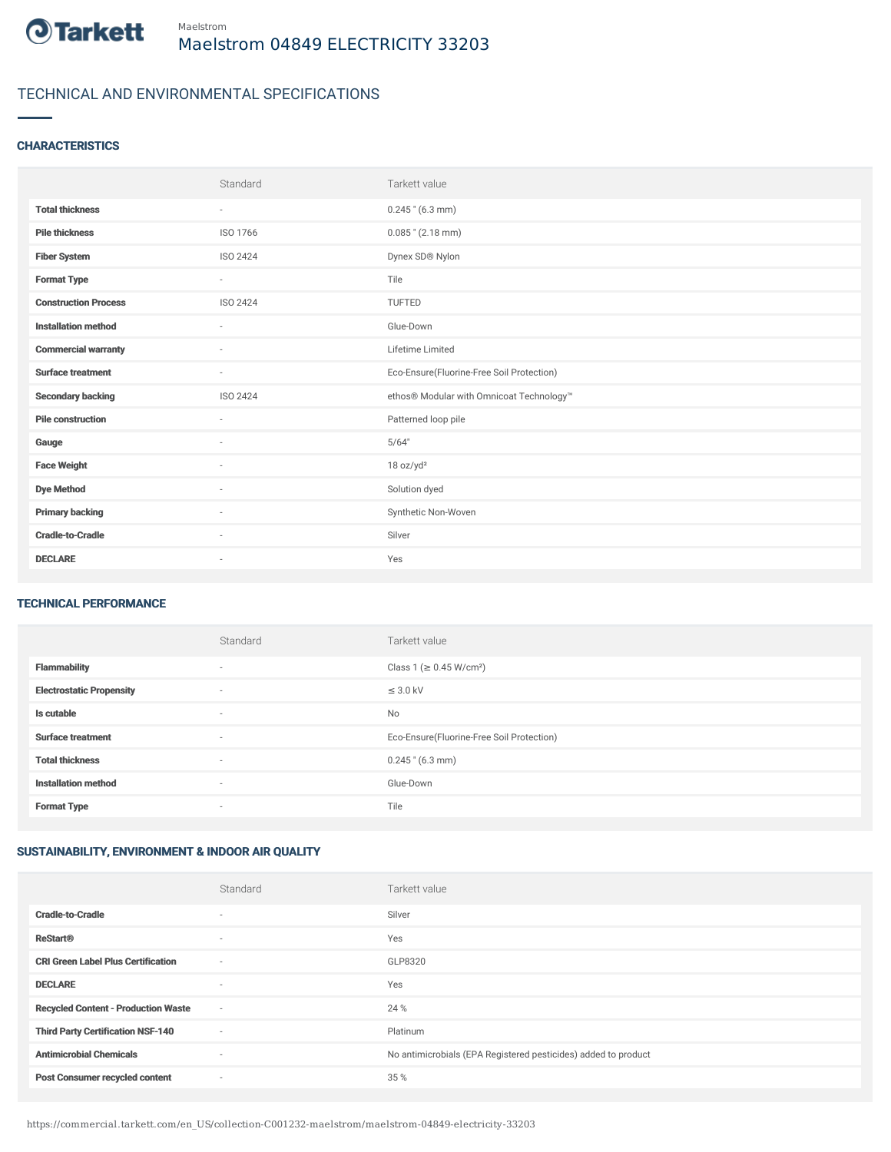

# TECHNICAL AND ENVIRONMENTAL SPECIFICATIONS

### **CHARACTERISTICS**

|                             | Standard | Tarkett value                             |
|-----------------------------|----------|-------------------------------------------|
| <b>Total thickness</b>      | $\sim$   | $0.245$ " (6.3 mm)                        |
| <b>Pile thickness</b>       | ISO 1766 | $0.085$ " (2.18 mm)                       |
| <b>Fiber System</b>         | ISO 2424 | Dynex SD® Nylon                           |
| <b>Format Type</b>          | $\sim$   | Tile                                      |
| <b>Construction Process</b> | ISO 2424 | TUFTED                                    |
| <b>Installation method</b>  | $\sim$   | Glue-Down                                 |
| <b>Commercial warranty</b>  | ×.       | Lifetime Limited                          |
| <b>Surface treatment</b>    | $\sim$   | Eco-Ensure(Fluorine-Free Soil Protection) |
| <b>Secondary backing</b>    | ISO 2424 | ethos® Modular with Omnicoat Technology™  |
| <b>Pile construction</b>    | $\sim$   | Patterned loop pile                       |
| Gauge                       | $\sim$   | 5/64"                                     |
| <b>Face Weight</b>          | $\sim$   | 18 oz/yd <sup>2</sup>                     |
| <b>Dye Method</b>           | $\sim$   | Solution dyed                             |
| <b>Primary backing</b>      | ×.       | Synthetic Non-Woven                       |
| <b>Cradle-to-Cradle</b>     | $\sim$   | Silver                                    |
| <b>DECLARE</b>              | $\sim$   | Yes                                       |

#### TECHNICAL PERFORMANCE

|                                 | Standard | Tarkett value                             |
|---------------------------------|----------|-------------------------------------------|
| <b>Flammability</b>             | $\sim$   | Class 1 (≥ 0.45 W/cm <sup>2</sup> )       |
| <b>Electrostatic Propensity</b> | ٠        | $\leq$ 3.0 kV                             |
| Is cutable                      | $\sim$   | No                                        |
| <b>Surface treatment</b>        | $\sim$   | Eco-Ensure(Fluorine-Free Soil Protection) |
| <b>Total thickness</b>          | ٠        | $0.245$ " (6.3 mm)                        |
| <b>Installation method</b>      | $\sim$   | Glue-Down                                 |
| <b>Format Type</b>              | ٠        | Tile                                      |

## SUSTAINABILITY, ENVIRONMENT & INDOOR AIR QUALITY

|                                            | Standard                 | Tarkett value                                                  |
|--------------------------------------------|--------------------------|----------------------------------------------------------------|
| <b>Cradle-to-Cradle</b>                    | $\overline{\phantom{a}}$ | Silver                                                         |
| <b>ReStart®</b>                            | $\overline{\phantom{a}}$ | Yes                                                            |
| <b>CRI Green Label Plus Certification</b>  | $\sim$                   | GLP8320                                                        |
| <b>DECLARE</b>                             | $\overline{\phantom{a}}$ | Yes                                                            |
| <b>Recycled Content - Production Waste</b> | $\sim$                   | 24 %                                                           |
| <b>Third Party Certification NSF-140</b>   | $\sim$                   | Platinum                                                       |
| <b>Antimicrobial Chemicals</b>             | $\overline{\phantom{a}}$ | No antimicrobials (EPA Registered pesticides) added to product |
| <b>Post Consumer recycled content</b>      | ٠                        | 35 %                                                           |